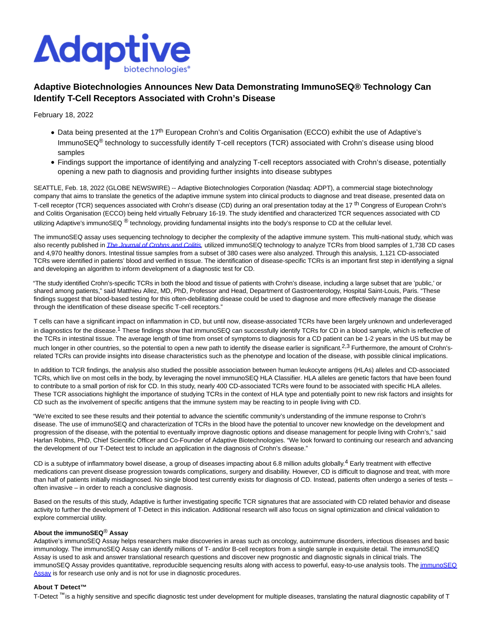

# **Adaptive Biotechnologies Announces New Data Demonstrating ImmunoSEQ® Technology Can Identify T-Cell Receptors Associated with Crohn's Disease**

February 18, 2022

- Data being presented at the 17<sup>th</sup> European Crohn's and Colitis Organisation (ECCO) exhibit the use of Adaptive's ImmunoSEQ<sup>®</sup> technology to successfully identify T-cell receptors (TCR) associated with Crohn's disease using blood samples
- Findings support the importance of identifying and analyzing T-cell receptors associated with Crohn's disease, potentially opening a new path to diagnosis and providing further insights into disease subtypes

SEATTLE, Feb. 18, 2022 (GLOBE NEWSWIRE) -- Adaptive Biotechnologies Corporation (Nasdaq: ADPT), a commercial stage biotechnology company that aims to translate the genetics of the adaptive immune system into clinical products to diagnose and treat disease, presented data on T-cell receptor (TCR) sequences associated with Crohn's disease (CD) during an oral presentation today at the 17<sup>th</sup> Congress of European Crohn's and Colitis Organisation (ECCO) being held virtually February 16-19. The study identified and characterized TCR sequences associated with CD utilizing Adaptive's immunoSEQ<sup>®</sup> technology, providing fundamental insights into the body's response to CD at the cellular level.

The immunoSEQ assay uses sequencing technology to decipher the complexity of the adaptive immune system. This multi-national study, which was also recently published in *The Journal of Crohns and Colitis*, utilized immunoSEQ technology to analyze TCRs from blood samples of 1,738 CD cases and 4,970 healthy donors. Intestinal tissue samples from a subset of 380 cases were also analyzed. Through this analysis, 1,121 CD-associated TCRs were identified in patients' blood and verified in tissue. The identification of disease-specific TCRs is an important first step in identifying a signal and developing an algorithm to inform development of a diagnostic test for CD.

"The study identified Crohn's-specific TCRs in both the blood and tissue of patients with Crohn's disease, including a large subset that are 'public,' or shared among patients," said Matthieu Allez, MD, PhD, Professor and Head, Department of Gastroenterology, Hospital Saint-Louis, Paris. "These findings suggest that blood-based testing for this often-debilitating disease could be used to diagnose and more effectively manage the disease through the identification of these disease specific T-cell receptors."

T cells can have a significant impact on inflammation in CD, but until now, disease-associated TCRs have been largely unknown and underleveraged in diagnostics for the disease.<sup>1</sup> These findings show that immunoSEQ can successfully identify TCRs for CD in a blood sample, which is reflective of the TCRs in intestinal tissue. The average length of time from onset of symptoms to diagnosis for a CD patient can be 1-2 years in the US but may be much longer in other countries, so the potential to open a new path to identify the disease earlier is significant.<sup>2,3</sup> Furthermore, the amount of Crohn'srelated TCRs can provide insights into disease characteristics such as the phenotype and location of the disease, with possible clinical implications.

In addition to TCR findings, the analysis also studied the possible association between human leukocyte antigens (HLAs) alleles and CD-associated TCRs, which live on most cells in the body, by leveraging the novel immunoSEQ HLA Classifier. HLA alleles are genetic factors that have been found to contribute to a small portion of risk for CD. In this study, nearly 400 CD-associated TCRs were found to be associated with specific HLA alleles. These TCR associations highlight the importance of studying TCRs in the context of HLA type and potentially point to new risk factors and insights for CD such as the involvement of specific antigens that the immune system may be reacting to in people living with CD.

"We're excited to see these results and their potential to advance the scientific community's understanding of the immune response to Crohn's disease. The use of immunoSEQ and characterization of TCRs in the blood have the potential to uncover new knowledge on the development and progression of the disease, with the potential to eventually improve diagnostic options and disease management for people living with Crohn's," said Harlan Robins, PhD, Chief Scientific Officer and Co-Founder of Adaptive Biotechnologies. "We look forward to continuing our research and advancing the development of our T-Detect test to include an application in the diagnosis of Crohn's disease."

CD is a subtype of inflammatory bowel disease, a group of diseases impacting about 6.8 million adults globally.<sup>4</sup> Early treatment with effective medications can prevent disease progression towards complications, surgery and disability. However, CD is difficult to diagnose and treat, with more than half of patients initially misdiagnosed. No single blood test currently exists for diagnosis of CD. Instead, patients often undergo a series of tests often invasive – in order to reach a conclusive diagnosis.

Based on the results of this study, Adaptive is further investigating specific TCR signatures that are associated with CD related behavior and disease activity to further the development of T-Detect in this indication. Additional research will also focus on signal optimization and clinical validation to explore commercial utility.

# **About the immunoSEQ**® **Assay**

Adaptive's immunoSEQ Assay helps researchers make discoveries in areas such as oncology, autoimmune disorders, infectious diseases and basic immunology. The immunoSEQ Assay can identify millions of T- and/or B-cell receptors from a single sample in exquisite detail. The immunoSEQ Assay is used to ask and answer translational research questions and discover new prognostic and diagnostic signals in clinical trials. The immunoSEQ Assay provides quantitative, reproducible sequencing results along with access to powerful, easy-to-use analysis tools. Th[e immunoSEQ](https://www.globenewswire.com/Tracker?data=TYOLH7OcMb-AdSPoH4Hc93l2BAMNrkWR7IIknnHMXctvXF8fSQMjfF9AZamWCg6jwRWQGalhK8TrCaKuzBJF_KiOlM8bdoaARmlkhHS1k90=) Assay is for research use only and is not for use in diagnostic procedures.

## **About T Detect™**

T-Detect<sup>™</sup> is a highly sensitive and specific diagnostic test under development for multiple diseases, translating the natural diagnostic capability of T